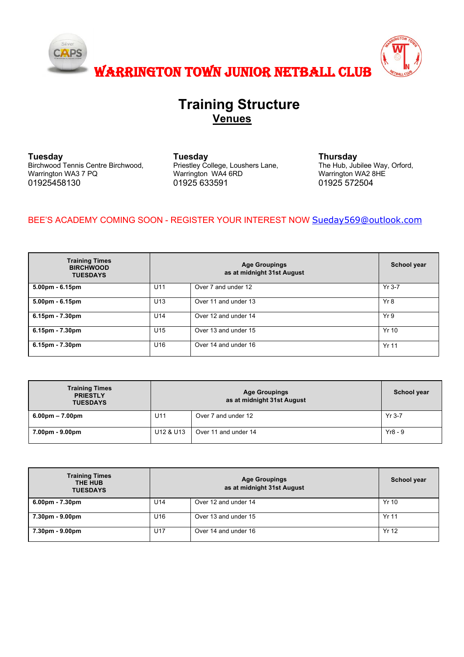

## **Training Structure Venues**

**Tuesday** Birchwood Tennis Centre Birchwood, Warrington WA3 7 PQ 01925458130

**Tuesday** Priestley College, Loushers Lane, Warrington WA4 6RD 01925 633591

**Thursday** The Hub, Jubilee Way, Orford, Warrington WA2 8HE 01925 572504

## BEE'S ACADEMY COMING SOON - REGISTER YOUR INTEREST NOW Sueday569@outlook.com

| <b>Training Times</b><br><b>BIRCHWOOD</b><br><b>TUESDAYS</b> |                 | School year          |              |
|--------------------------------------------------------------|-----------------|----------------------|--------------|
| $5.00pm - 6.15pm$                                            | U11             | Over 7 and under 12  | $Yr$ 3-7     |
| $5.00pm - 6.15pm$                                            | U <sub>13</sub> | Over 11 and under 13 | Yr8          |
| $6.15pm - 7.30pm$                                            | U14             | Over 12 and under 14 | Yr9          |
| $6.15$ pm - $7.30$ pm                                        | U <sub>15</sub> | Over 13 and under 15 | Yr 10        |
| $6.15pm - 7.30pm$                                            | U16             | Over 14 and under 16 | <b>Yr 11</b> |

| <b>Training Times</b><br><b>PRIESTLY</b><br><b>TUESDAYS</b> | <b>Age Groupings</b><br>as at midnight 31st August |                      | School year |
|-------------------------------------------------------------|----------------------------------------------------|----------------------|-------------|
| $6.00pm - 7.00pm$                                           | U11                                                | Over 7 and under 12  | $Yr$ 3-7    |
| 7.00pm - 9.00pm                                             | U12 & U13                                          | Over 11 and under 14 | $Yr8 - 9$   |

| <b>Training Times</b><br>THE HUB<br><b>TUESDAYS</b> |                 | School year          |              |
|-----------------------------------------------------|-----------------|----------------------|--------------|
| $6.00pm - 7.30pm$                                   | U14             | Over 12 and under 14 | Yr 10        |
| 7.30pm - 9.00pm                                     | U <sub>16</sub> | Over 13 and under 15 | <b>Yr 11</b> |
| 7.30pm - 9.00pm                                     | U17             | Over 14 and under 16 | Yr 12        |